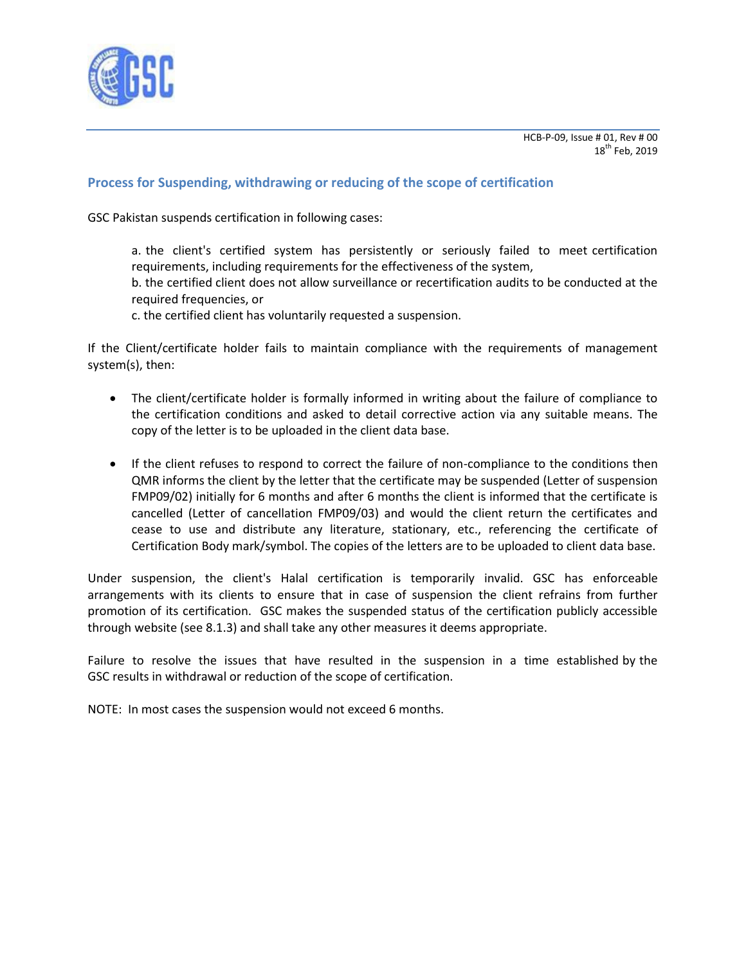

## **Process for Suspending, withdrawing or reducing of the scope of certification**

GSC Pakistan suspends certification in following cases:

- a. the client's certified system has persistently or seriously failed to meet certification requirements, including requirements for the effectiveness of the system,
- b. the certified client does not allow surveillance or recertification audits to be conducted at the required frequencies, or
- c. the certified client has voluntarily requested a suspension.

If the Client/certificate holder fails to maintain compliance with the requirements of management system(s), then:

- The client/certificate holder is formally informed in writing about the failure of compliance to the certification conditions and asked to detail corrective action via any suitable means. The copy of the letter is to be uploaded in the client data base.
- If the client refuses to respond to correct the failure of non-compliance to the conditions then QMR informs the client by the letter that the certificate may be suspended (Letter of suspension FMP09/02) initially for 6 months and after 6 months the client is informed that the certificate is cancelled (Letter of cancellation FMP09/03) and would the client return the certificates and cease to use and distribute any literature, stationary, etc., referencing the certificate of Certification Body mark/symbol. The copies of the letters are to be uploaded to client data base.

Under suspension, the client's Halal certification is temporarily invalid. GSC has enforceable arrangements with its clients to ensure that in case of suspension the client refrains from further promotion of its certification. GSC makes the suspended status of the certification publicly accessible through website (see 8.1.3) and shall take any other measures it deems appropriate.

Failure to resolve the issues that have resulted in the suspension in a time established by the GSC results in withdrawal or reduction of the scope of certification.

NOTE: In most cases the suspension would not exceed 6 months.